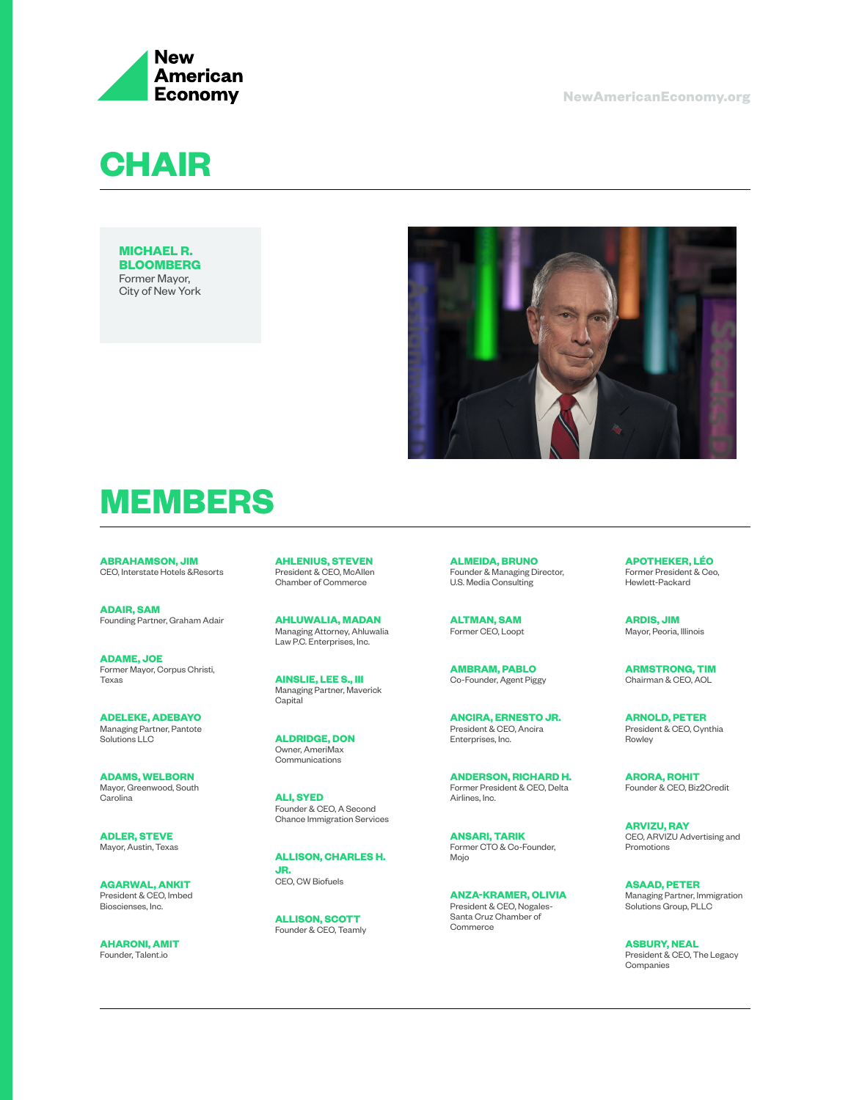

**CHAIR**

**MICHAEL R. BLOOMBERG** Former Mayor, City of New York



# **MEMBERS**

**ABRAHAMSON, JIM** CEO, Interstate Hotels &Resorts

**ADAIR, SAM** Founding Partner, Graham Adair

**ADAME, JOE** Former Mayor, Corpus Christi, Texas

**ADELEKE, ADEBAYO** Managing Partner, Pantote Solutions LLC

**ADAMS, WELBORN** Mayor, Greenwood, South Carolina

**ADLER, STEVE** Mayor, Austin, Texas

**AGARWAL, ANKIT** President & CEO, Imbed Bioscienses, Inc.

**AHARONI, AMIT** Founder, Talent.io

**AHLENIUS, STEVEN** President & CEO, McAllen Chamber of Commerce

**AHLUWALIA, MADAN** Managing Attorney, Ahluwalia Law P.C. Enterprises, Inc.

**AINSLIE, LEE S., III**  Managing Partner, Maverick **Capital** 

**ALDRIDGE, DON**  Owner, AmeriMax Communications

**ALI, SYED** Founder & CEO, A Second Chance Immigration Services

**ALLISON, CHARLES H. JR.** CEO, CW Biofuels

**ALLISON, SCOTT** Founder & CEO, Teamly **ALMEIDA, BRUNO** Founder & Managing Director, U.S. Media Consulting

**ALTMAN, SAM** Former CEO, Loopt

**AMBRAM, PABLO** Co-Founder, Agent Piggy

**ANCIRA, ERNESTO JR.** President & CEO, Ancira Enterprises, Inc.

**ANDERSON, RICHARD H.** Former President & CEO, Delta Airlines, Inc.

**ANSARI, TARIK** Former CTO & Co-Founder, Mojo

**ANZA-KRAMER, OLIVIA** President & CEO, Nogales-Santa Cruz Chamber of **Commerce** 

**APOTHEKER, LÉO** Former President & Ceo, Hewlett-Packard

**ARDIS, JIM** Mayor, Peoria, Illinois

**ARMSTRONG, TIM** Chairman & CEO, AOL

**ARNOLD, PETER** President & CEO, Cynthia Rowley

**ARORA, ROHIT** Founder & CEO, Biz2Credit

**ARVIZU, RAY** CEO, ARVIZU Advertising and Promotions

**ASAAD, PETER** Managing Partner, Immigration Solutions Group, PLLC

**ASBURY, NEAL** President & CEO, The Legacy Companies

**NewAmericanEconomy.org**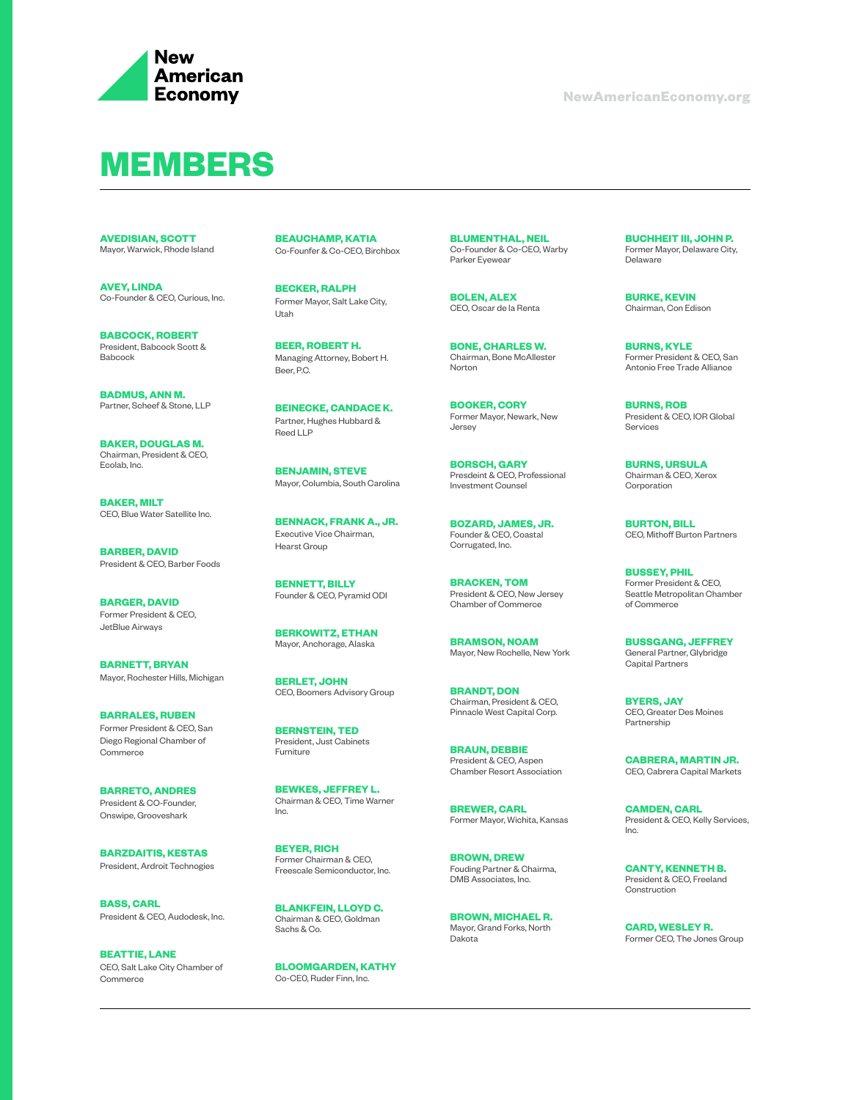

#### **MEMBERS**

**AVEDISIAN, SCOTT** Mayor, Warwick, Rhode Island

**AVEY, LINDA** Co-Founder & CEO, Curious, Inc.

**BABCOCK, ROBERT** President, Babcock Scott & Babcock

**BADMUS, ANN M.** Partner, Scheef & Stone, LLP

**BAKER, DOUGLAS M.** Chairman, President & CEO, Ecolab, Inc.

**BAKER, MILT** CEO, Blue Water Satellite Inc.

**BARBER, DAVID** President & CEO, Barber Foods

**BARGER, DAVID** Former President & CEO, JetBlue Airways

**BARNETT, BRYAN** Mayor, Rochester Hills, Michigan

**BARRALES, RUBEN** Former President & CEO, San Diego Regional Chamber of **Commerce** 

**BARRETO, ANDRES** President & CO-Founder, Onswipe, Grooveshark

**BARZDAITIS, KESTAS** President, Ardroit Technogies

**BASS, CARL** President & CEO, Audodesk, Inc.

**BEATTIE, LANE** CEO, Salt Lake City Chamber of Commerce

**BEAUCHAMP, KATIA** Co-Founfer & Co-CEO, Birchbox

**BECKER, RALPH** Former Mayor, Salt Lake City, Utah

**BEER, ROBERT H.** Managing Attorney, Bobert H. Beer, P.C.

**BEINECKE, CANDACE K.** Partner, Hughes Hubbard & Reed LLP

**BENJAMIN, STEVE** Mayor, Columbia, South Carolina

**BENNACK, FRANK A., JR.** Executive Vice Chairman, Hearst Group

**BENNETT, BILLY** Founder & CEO, Pyramid ODI

**BERKOWITZ, ETHAN** Mayor, Anchorage, Alaska

**BERLET, JOHN** CEO, Boomers Advisory Group

**BERNSTEIN, TED** President, Just Cabinets Furniture

**BEWKES, JEFFREY L.** Chairman & CEO, Time Warner Inc.

**BEYER, RICH** Former Chairman & CEO, Freescale Semiconductor, Inc.

**BLANKFEIN, LLOYD C.** Chairman & CEO, Goldman Sachs & Co.

**BLOOMGARDEN, KATHY** Co-CE0, Ruder Finn, Inc.

**BLUMENTHAL, NEIL** Co-Founder & Co-CEO, Warby Parker Eyewear

**BOLEN, ALEX** CEO, Oscar de la Renta

**BONE, CHARLES W.** Chairman, Bone McAllester **Norton** 

**BOOKER, CORY** Former Mayor, Newark, New Jersey

**BORSCH, GARY** Presdeint & CEO, Professional Investment Counsel

**BOZARD, JAMES, JR.** Founder & CEO, Coastal Corrugated, Inc.

**BRACKEN, TOM** President & CEO, New Jersey Chamber of Commerce

**BRAMSON, NOAM** Mayor, New Rochelle, New York

**BRANDT, DON** Chairman, President & CEO, Pinnacle West Capital Corp.

**BRAUN, DEBBIE** President & CEO, Aspen Chamber Resort Association

**BREWER, CARL** Former Mayor, Wichita, Kansas

**BROWN, DREW** Fouding Partner & Chairma, DMB Associates, Inc.

**BROWN, MICHAEL R.**  Mayor, Grand Forks, North Dakota

**BUCHHEIT III, JOHN P.** Former Mayor, Delaware City, Delaware

**BURKE, KEVIN** Chairman, Con Edison

**BURNS, KYLE** Former President & CEO, San Antonio Free Trade Alliance

**BURNS, ROB** President & CEO, IOR Global Services

**BURNS, URSULA** Chairman & CEO, Xerox Corporation

**BURTON, BILL** CEO, Mithoff Burton Partners

**BUSSEY, PHIL** Former President & CEO, Seattle Metropolitan Chamber of Commerce

**BUSSGANG, JEFFREY** General Partner, Glybridge Capital Partners

**BYERS, JAY** CEO, Greater Des Moines Partnership

**CABRERA, MARTIN JR.** CEO, Cabrera Capital Markets

**CAMDEN, CARL** President & CEO, Kelly Services, Inc.

**CANTY, KENNETH B.**  President & CEO, Freeland Construction

**CARD, WESLEY R.** Former CEO, The Jones Group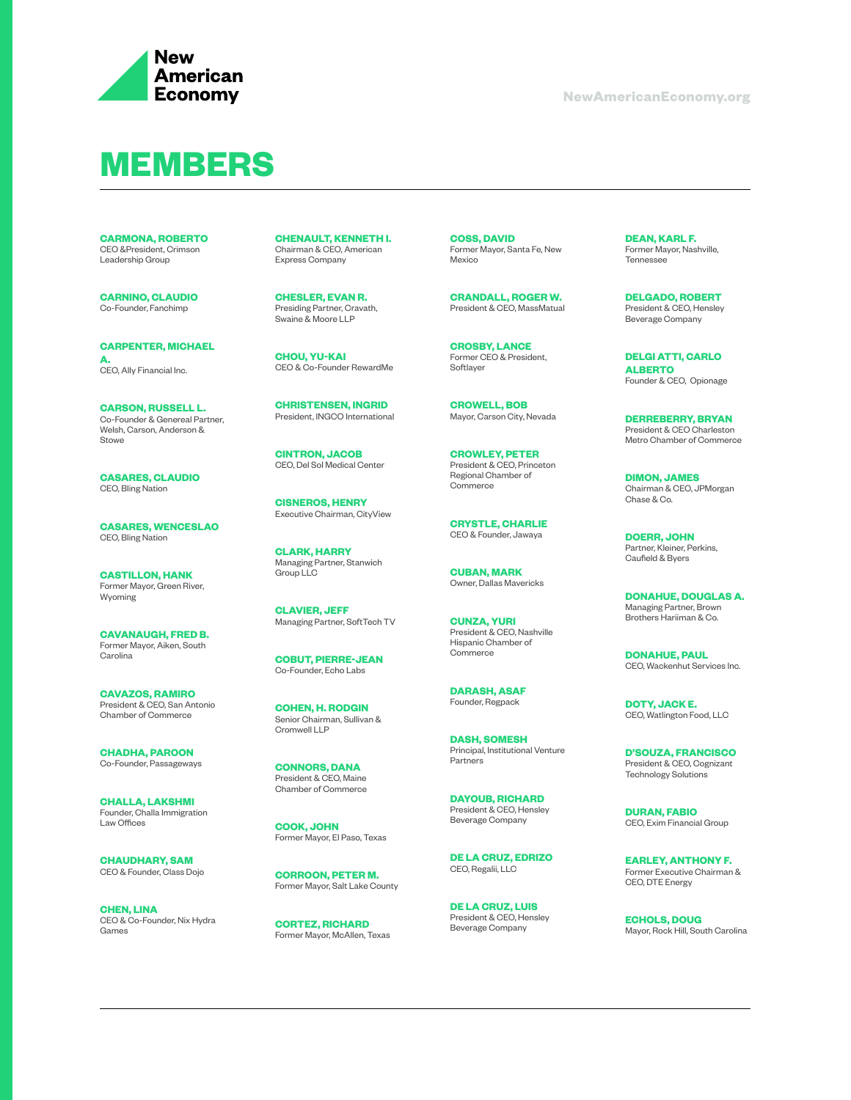

## **MEMBERS**

**CARMONA, ROBERTO** CEO &President, Crimson Leadership Group

**CARNINO, CLAUDIO** Co-Founder, Fanchimp

**CARPENTER, MICHAEL A.** CEO, Ally Financial Inc.

**CARSON, RUSSELL L.** Co-Founder & Genereal Partner, Welsh, Carson, Anderson & Stowe

**CASARES, CLAUDIO** CEO, Bling Nation

**CASARES, WENCESLAO** CEO, Bling Nation

**CASTILLON, HANK** Former Mayor, Green River, Wyoming

**CAVANAUGH, FRED B.**  Former Mayor, Aiken, South **Carolina** 

**CAVAZOS, RAMIRO** President & CEO, San Antonio Chamber of Commerce

**CHADHA, PAROON** Co-Founder, Passageways

**CHALLA, LAKSHMI** Founder, Challa Immigration Law Offices

**CHAUDHARY, SAM** CEO & Founder, Class Dojo

**CHEN, LINA** CEO & Co-Founder, Nix Hydra Games

**CHENAULT, KENNETH I.** Chairman & CEO, American Express Company

**CHESLER, EVAN R.** Presiding Partner, Cravath, Swaine & Moore LLP

**CHOU, YU-KAI** CEO & Co-Founder RewardMe

**CHRISTENSEN, INGRID** President, INGCO International

**CINTRON, JACOB** CEO, Del Sol Medical Center

**CISNEROS, HENRY** Executive Chairman, CityView

**CLARK, HARRY** Managing Partner, Stanwich Group LLC

**CLAVIER, JEFF** Managing Partner, SoftTech TV

**COBUT, PIERRE-JEAN** Co-Founder, Echo Labs

**COHEN, H. RODGIN** Senior Chairman, Sullivan & Cromwell LLP

**CONNORS, DANA** President & CEO, Maine Chamber of Commerce

**COOK, JOHN** Former Mayor, El Paso, Texas

**CORROON, PETER M.**  Former Mayor, Salt Lake County

**CORTEZ, RICHARD** Former Mayor, McAllen, Texas **COSS, DAVID** Former Mayor, Santa Fe, New Mexico

**CRANDALL, ROGER W.** President & CEO, MassMatual

**CROSBY, LANCE** Former CEO & President, Softlayer

**CROWELL, BOB** Mayor, Carson City, Nevada

**CROWLEY, PETER** President & CEO, Princeton Regional Chamber of **Commerce** 

**CRYSTLE, CHARLIE** CEO & Founder, Jawaya

**CUBAN, MARK** Owner, Dallas Mavericks

**CUNZA, YURI** President & CEO, Nashville Hispanic Chamber of Commerce

**DARASH, ASAF** Founder, Regpack

**DASH, SOMESH** Principal, Institutional Venture Partners

**DAYOUB, RICHARD** President & CEO, Hensley Beverage Company

**DE LA CRUZ, EDRIZO** CEO, Regalii, LLC

**DE LA CRUZ, LUIS** President & CEO, Hensley Beverage Company

**DEAN, KARL F.**  Former Mayor, Nashville, Tennessee

**DELGADO, ROBERT** President & CEO, Hensley Beverage Company

**DELGI ATTI, CARLO ALBERTO** Founder & CEO, Opionage

**DERREBERRY, BRYAN** President & CEO Charleston Metro Chamber of Commerce

**DIMON, JAMES** Chairman & CEO, JPMorgan Chase & Co.

**DOERR, JOHN** Partner, Kleiner, Perkins, Caufield & Byers

**DONAHUE, DOUGLAS A.** Managing Partner, Brown Brothers Hariiman & Co.

**DONAHUE, PAUL** CEO, Wackenhut Services Inc.

**DOTY, JACK E.**  CEO, Watlington Food, LLC

**D'SOUZA, FRANCISCO** President & CEO, Cognizant Technology Solutions

**DURAN, FABIO** CEO, Exim Financial Group

**EARLEY, ANTHONY F.** Former Executive Chairman & CEO, DTE Energy

**ECHOLS, DOUG** Mayor, Rock Hill, South Carolina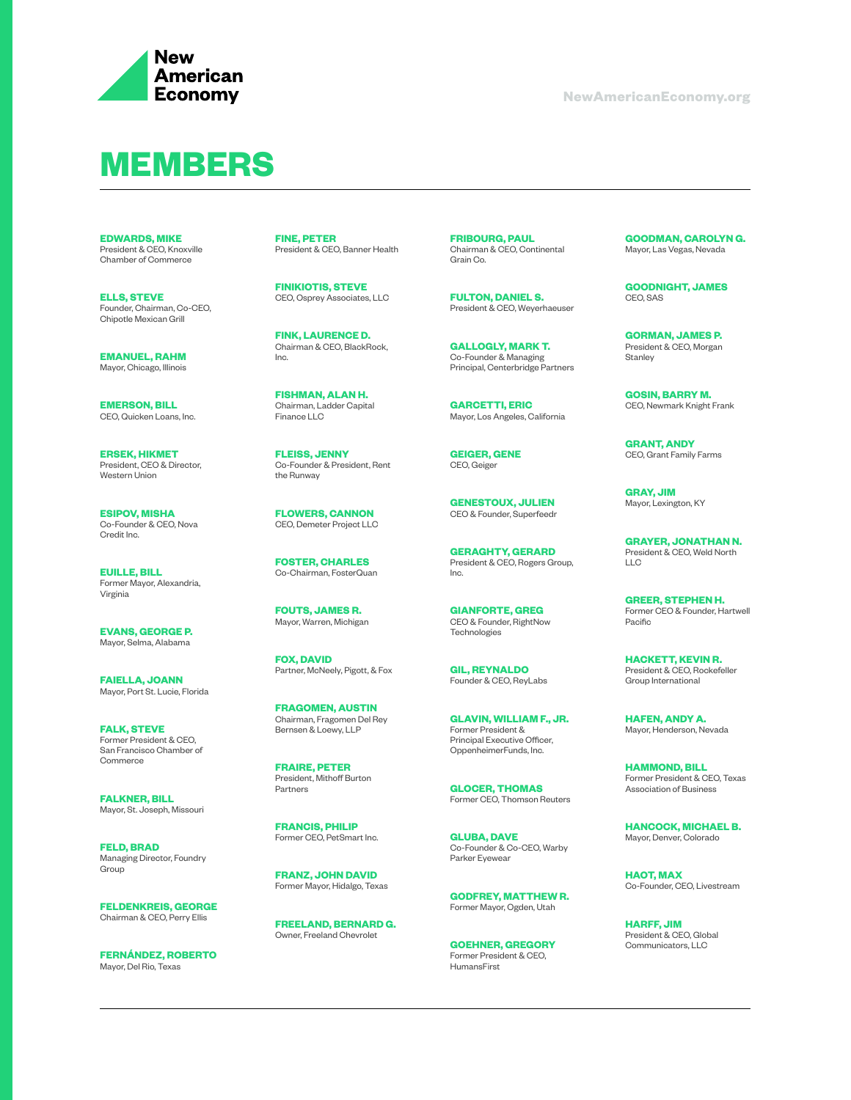

#### **MEMBERS**

**EDWARDS, MIKE** President & CEO, Knoxville Chamber of Commerce

**ELLS, STEVE** Founder, Chairman, Co-CEO, Chipotle Mexican Grill

**EMANUEL, RAHM** Mayor, Chicago, Illinois

**EMERSON, BILL** CEO, Quicken Loans, Inc.

**ERSEK, HIKMET** President, CEO & Director, Western Union

**ESIPOV, MISHA** Co-Founder & CEO, Nova Credit Inc.

**EUILLE, BILL** Former Mayor, Alexandria, Virginia

**EVANS, GEORGE P.**  Mayor, Selma, Alabama

**FAIELLA, JOANN** Mayor, Port St. Lucie, Florida

**FALK, STEVE** Former President & CEO, San Francisco Chamber of Commerce

**FALKNER, BILL** Mayor, St. Joseph, Missouri

**FELD, BRAD** Managing Director, Foundry **Group** 

**FELDENKREIS, GEORGE** Chairman & CEO, Perry Ellis

**FERNÁNDEZ, ROBERTO** Mayor, Del Rio, Texas

**FINE, PETER** President & CEO, Banner Health

**FINIKIOTIS, STEVE** CEO, Osprey Associates, LLC

**FINK, LAURENCE D.** Chairman & CEO, BlackRock, Inc.

**FISHMAN, ALAN H.**  Chairman, Ladder Capital Finance LLC

**FLEISS, JENNY** Co-Founder & President, Rent the Runway

**FLOWERS, CANNON** CEO, Demeter Project LLC

**FOSTER, CHARLES** Co-Chairman, FosterQuan

**FOUTS, JAMES R.**  Mayor, Warren, Michigan

**FOX, DAVID** Partner, McNeely, Pigott, & Fox

**FRAGOMEN, AUSTIN** Chairman, Fragomen Del Rey Bernsen & Loewy, LLP

**FRAIRE, PETER** President, Mithoff Burton Partners

**FRANCIS, PHILIP** Former CEO, PetSmart Inc.

**FRANZ, JOHN DAVID** Former Mayor, Hidalgo, Texas

**FREELAND, BERNARD G.**  Owner, Freeland Chevrolet

**FRIBOURG, PAUL** Chairman & CEO, Continental Grain Co.

**FULTON, DANIEL S.**  President & CEO, Weyerhaeuser

**GALLOGLY, MARK T.**  Co-Founder & Managing Principal, Centerbridge Partners

**GARCETTI, ERIC**  Mayor, Los Angeles, California

**GEIGER, GENE** CEO, Geiger

**GENESTOUX, JULIEN** CEO & Founder, Superfeedr

**GERAGHTY, GERARD** President & CEO, Rogers Group, Inc.

**GIANFORTE, GREG** CEO & Founder, RightNow Technologies

**GIL, REYNALDO** Founder & CEO, ReyLabs

**GLAVIN, WILLIAM F., JR.** Former President & Principal Executive Officer, OppenheimerFunds, Inc.

**GLOCER, THOMAS** Former CEO, Thomson Reuters

**GLUBA, DAVE** Co-Founder & Co-CEO, Warby Parker Eyewear

**GODFREY, MATTHEW R.**  Former Mayor, Ogden, Utah

**GOEHNER, GREGORY**  Former President & CEO, HumansFirst

**GOODMAN, CAROLYN G.**  Mayor, Las Vegas, Nevada

**GOODNIGHT, JAMES** CEO, SAS

**GORMAN, JAMES P.** President & CEO, Morgan **Stanley** 

**GOSIN, BARRY M.** CEO, Newmark Knight Frank

**GRANT, ANDY** CEO, Grant Family Farms

**GRAY, JIM** Mayor, Lexington, KY

**GRAYER, JONATHAN N.** President & CEO, Weld North  $\overline{\phantom{a}}$ 

**GREER, STEPHEN H.**  Former CEO & Founder, Hartwell Pacific

**HACKETT, KEVIN R.**  President & CEO, Rockefeller Group International

**HAFEN, ANDY A.**  Mayor, Henderson, Nevada

**HAMMOND, BILL** Former President & CEO, Texas Association of Business

**HANCOCK, MICHAEL B.**  Mayor, Denver, Colorado

**HAOT, MAX** Co-Founder, CEO, Livestream

**HARFF, JIM** President & CEO, Global Communicators, LLC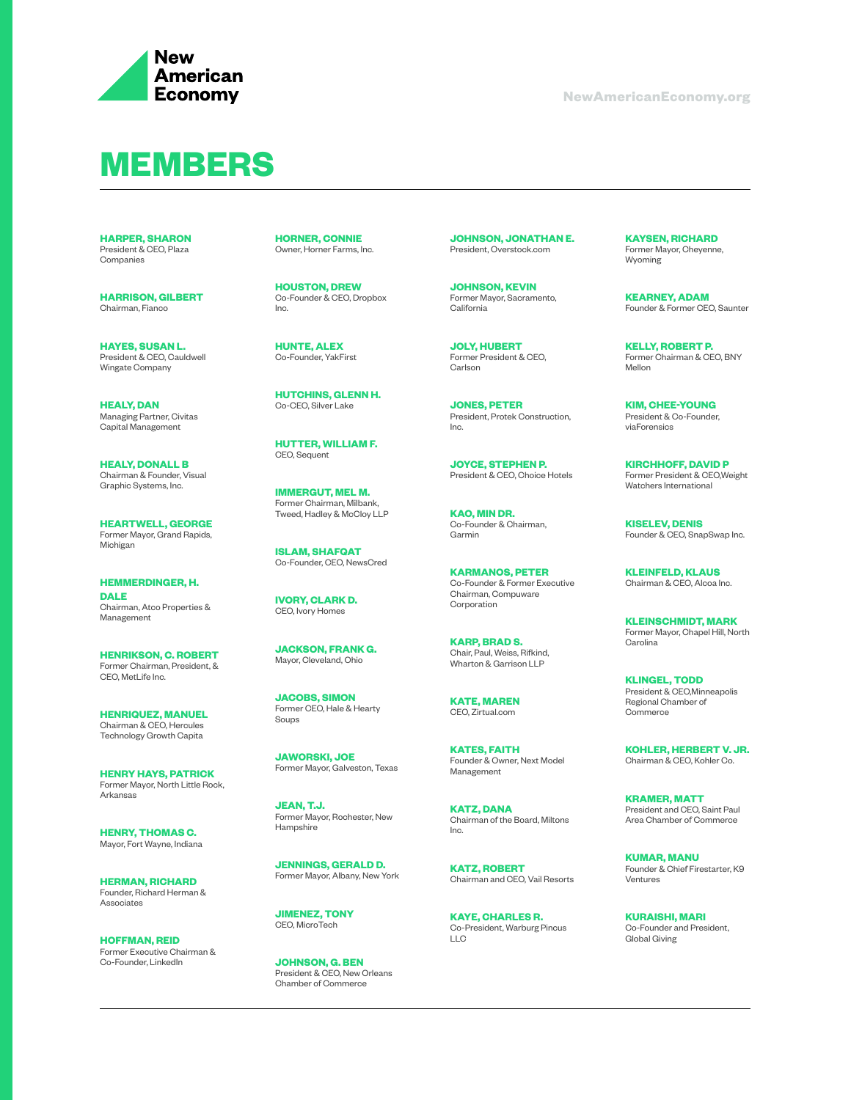

## **MEMBERS**

**HARPER, SHARON** President & CEO, Plaza Companies

**HARRISON, GILBERT** Chairman, Fianco

**HAYES, SUSAN L.** President & CEO, Cauldwell Wingate Company

**HEALY, DAN** Managing Partner, Civitas Capital Management

**HEALY, DONALL B** Chairman & Founder, Visual Graphic Systems, Inc.

**HEARTWELL, GEORGE** Former Mayor, Grand Rapids, Michigan

**HEMMERDINGER, H. DALE**  Chairman, Atco Properties & Management

**HENRIKSON, C. ROBERT**  Former Chairman, President, & CEO, MetLife Inc.

**HENRIQUEZ, MANUEL** Chairman & CEO, Hercules Technology Growth Capita

**HENRY HAYS, PATRICK** Former Mayor, North Little Rock, Arkansas

**HENRY, THOMAS C.**  Mayor, Fort Wayne, Indiana

**HERMAN, RICHARD** Founder, Richard Herman & Associates

**HOFFMAN, REID** Former Executive Chairman & Co-Founder, LinkedIn

**HORNER, CONNIE** Owner, Horner Farms, Inc.

**HOUSTON, DREW** Co-Founder & CEO, Dropbox Inc.

**HUNTE, ALEX** Co-Founder, YakFirst

**HUTCHINS, GLENN H.**  Co-CEO, Silver Lake

**HUTTER, WILLIAM F.** CEO, Sequent

**IMMERGUT, MEL M.**  Former Chairman, Milbank, Tweed, Hadley & McCloy LLP

**ISLAM, SHAFQAT** Co-Founder, CEO, NewsCred

**IVORY, CLARK D.**  CEO, Ivory Homes

**JACKSON, FRANK G.**  Mayor, Cleveland, Ohio

**JACOBS, SIMON** Former CEO, Hale & Hearty Soups

**JAWORSKI, JOE** Former Mayor, Galveston, Texas

**JEAN, T.J.**  Former Mayor, Rochester, New Hampshire

**JENNINGS, GERALD D.**  Former Mayor, Albany, New York

**JIMENEZ, TONY** CEO, MicroTech

**JOHNSON, G. BEN** President & CEO, New Orleans Chamber of Commerce

**JOHNSON, JONATHAN E.**  President, Overstock.com

**JOHNSON, KEVIN** Former Mayor, Sacramento, California

**JOLY, HUBERT** Former President & CEO, Carlson

**JONES, PETER** President, Protek Construction, Inc.

**JOYCE, STEPHEN P.**  President & CEO, Choice Hotels

**KAO, MIN DR.**  Co-Founder & Chairman, Garmin

**KARMANOS, PETER** Co-Founder & Former Executive Chairman, Compuware Corporation

**KARP, BRAD S.** Chair, Paul, Weiss, Rifkind, Wharton & Garrison LLP

**KATE, MAREN** CEO, Zirtual.com

**KATES, FAITH** Founder & Owner, Next Model Management

**KATZ, DANA** Chairman of the Board, Miltons  $Inc.$ 

**KATZ, ROBERT** Chairman and CEO, Vail Resorts

**KAYE, CHARLES R.** Co-President, Warburg Pincus  $\overline{L}$ 

**KAYSEN, RICHARD** Former Mayor, Cheyenne, Wyoming

**KEARNEY, ADAM** Founder & Former CEO, Saunter

**KELLY, ROBERT P.**  Former Chairman & CEO, BNY Mellon

**KIM, CHEE-YOUNG** President & Co-Founder, viaForensics

**KIRCHHOFF, DAVID P** Former President & CEO,Weight Watchers International

**KISELEV, DENIS** Founder & CEO, SnapSwap Inc.

**KLEINFELD, KLAUS** Chairman & CEO, Alcoa Inc.

**KLEINSCHMIDT, MARK** Former Mayor, Chapel Hill, North **Carolina** 

**KLINGEL, TODD** President & CEO,Minneapolis Regional Chamber of **Commerce** 

**KOHLER, HERBERT V. JR.** Chairman & CEO, Kohler Co.

**KRAMER, MATT** President and CEO, Saint Paul Area Chamber of Commerce

**KUMAR, MANU** Founder & Chief Firestarter, K9 Ventures

**KURAISHI, MARI** Co-Founder and President, Global Giving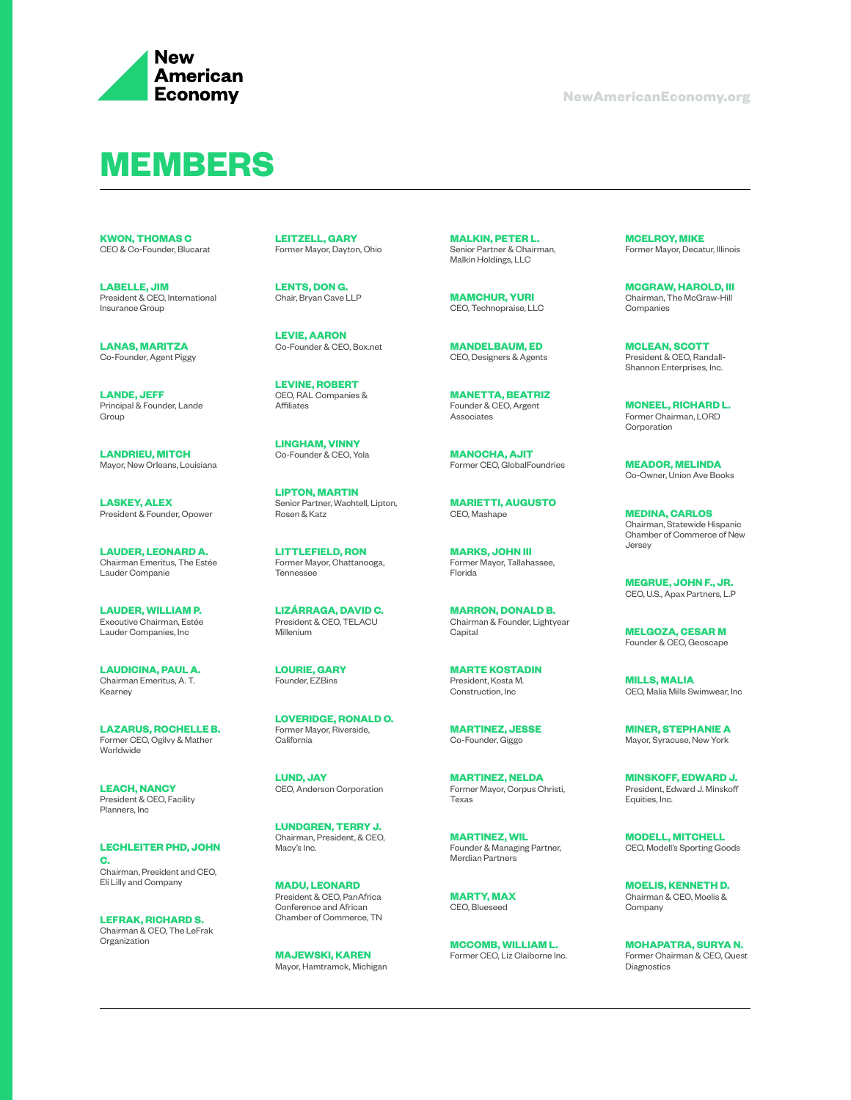

## **MEMBERS**

**KWON, THOMAS C** CEO & Co-Founder, Blucarat

**LABELLE, JIM** President & CEO, International Insurance Group

**LANAS, MARITZA** Co-Founder, Agent Piggy

**LANDE, JEFF** Principal & Founder, Lande Group

**LANDRIEU, MITCH** Mayor, New Orleans, Louisiana

**LASKEY, ALEX** President & Founder, Opower

**LAUDER, LEONARD A.**  Chairman Emeritus, The Estée Lauder Companie

**LAUDER, WILLIAM P.**  Executive Chairman, Estée Lauder Companies, Inc

**LAUDICINA, PAUL A.**  Chairman Emeritus, A. T. Kearney

**LAZARUS, ROCHELLE B.**  Former CEO, Ogilvy & Mather Worldwide

**LEACH, NANCY** President & CEO, Facility Planners, Inc

**LECHLEITER PHD, JOHN C.**  Chairman, President and CEO, Eli Lilly and Company

**LEFRAK, RICHARD S.** Chairman & CEO, The LeFrak Organization

**LEITZELL, GARY** Former Mayor, Dayton, Ohio

**LENTS, DON G.**  Chair, Bryan Cave LLP

**LEVIE, AARON** Co-Founder & CEO, Box.net

**LEVINE, ROBERT** CEO, RAL Companies & Affiliates

**LINGHAM, VINNY** Co-Founder & CEO, Yola

**LIPTON, MARTIN** Senior Partner, Wachtell, Lipton, Rosen & Katz

**LITTLEFIELD, RON** Former Mayor, Chattanooga, Tennessee

**LIZÁRRAGA, DAVID C.** President & CEO, TELACU Millenium

**LOURIE, GARY**  Founder, EZBins

**LOVERIDGE, RONALD O.**  Former Mayor, Riverside, **California** 

**LUND, JAY**  CEO, Anderson Corporation

**LUNDGREN, TERRY J.** Chairman, President, & CEO, Macy's Inc.

**MADU, LEONARD**  President & CEO, PanAfrica Conference and African Chamber of Commerce, TN

**MAJEWSKI, KAREN** Mayor, Hamtramck, Michigan **MALKIN, PETER L.**  Senior Partner & Chairman, Malkin Holdings, LLC

**MAMCHUR, YURI** CEO, Technopraise, LLC

**MANDELBAUM, ED** CEO, Designers & Agents

**MANETTA, BEATRIZ** Founder & CEO, Argent Associates

**MANOCHA, AJIT** Former CEO, GlobalFoundries

**MARIETTI, AUGUSTO** CEO, Mashape

**MARKS, JOHN III** Former Mayor, Tallahassee, Florida

**MARRON, DONALD B.**  Chairman & Founder, Lightyear **Capital** 

**MARTE KOSTADIN** President, Kosta M. Construction, Inc

**MARTINEZ, JESSE** Co-Founder, Giggo

**MARTINEZ, NELDA** Former Mayor, Corpus Christi, Texas

**MARTINEZ, WIL** Founder & Managing Partner, Merdian Partners

**MARTY, MAX** CEO, Blueseed

**MCCOMB, WILLIAM L.**  Former CEO, Liz Claiborne Inc.

**MCELROY, MIKE** Former Mayor, Decatur, Illinois

**MCGRAW, HAROLD, III** Chairman, The McGraw-Hill Companies

**MCLEAN, SCOTT** President & CEO, Randall-Shannon Enterprises, Inc.

**MCNEEL, RICHARD L.**  Former Chairman, LORD Corporation

**MEADOR, MELINDA** Co-Owner, Union Ave Books

**MEDINA, CARLOS** Chairman, Statewide Hispanic Chamber of Commerce of New Jersey

**MEGRUE, JOHN F., JR.** CEO, U.S., Apax Partners, L.P

**MELGOZA, CESAR M** Founder & CEO, Geoscape

**MILLS, MALIA** CEO, Malia Mills Swimwear, Inc

**MINER, STEPHANIE A** Mayor, Syracuse, New York

**MINSKOFF, EDWARD J.** President, Edward J. Minskoff Equities, Inc.

**MODELL, MITCHELL** CEO, Modell's Sporting Goods

**MOELIS, KENNETH D.**  Chairman & CEO, Moelis & Company

**MOHAPATRA, SURYA N.**  Former Chairman & CEO, Quest Diagnostics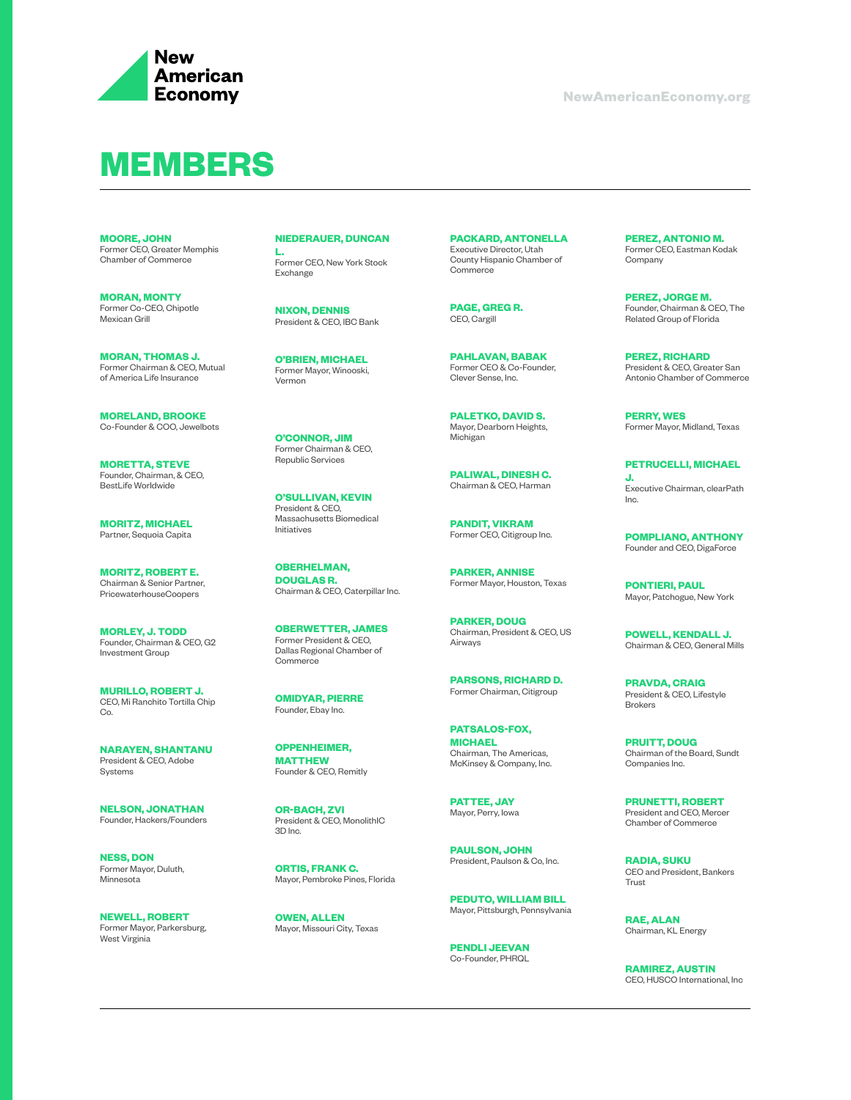

## **MEMBERS**

**MOORE, JOHN** Former CEO, Greater Memphis Chamber of Commerce

**MORAN, MONTY** Former Co-CEO, Chipotle Mexican Grill

**MORAN, THOMAS J.** Former Chairman & CEO, Mutual of America Life Insurance

**MORELAND, BROOKE** Co-Founder & COO, Jewelbots

**MORETTA, STEVE** Founder, Chairman, & CEO, BestLife Worldwide

**MORITZ, MICHAEL** Partner, Sequoia Capita

**MORITZ, ROBERT E.**  Chairman & Senior Partner, PricewaterhouseCoopers

**MORLEY, J. TODD**  Founder, Chairman & CEO, G2 Investment Group

**MURILLO, ROBERT J.**  CEO, Mi Ranchito Tortilla Chip Co.

**NARAYEN, SHANTANU** President & CEO, Adobe Systems

**NELSON, JONATHAN** Founder, Hackers/Founders

**NESS, DON** Former Mayor, Duluth, Minnesota

**NEWELL, ROBERT** Former Mayor, Parkersburg, West Virginia

**NIEDERAUER, DUNCAN L.** 

Former CEO, New York Stock Exchange

**NIXON, DENNIS** President & CEO, IBC Bank

**O'BRIEN, MICHAEL** Former Mayor, Winooski, Vermon

**O'CONNOR, JIM** Former Chairman & CEO, Republic Services

**O'SULLIVAN, KEVIN** President & CEO, Massachusetts Biomedical Initiatives

**OBERHELMAN, DOUGLAS R.**  Chairman & CEO, Caterpillar Inc.

**OBERWETTER, JAMES** Former President & CEO, Dallas Regional Chamber of Commerce

**OMIDYAR, PIERRE** Founder, Ebay Inc.

**OPPENHEIMER, MATTHEW**  Founder & CEO, Remitly

**OR-BACH, ZVI** President & CEO, MonolithIC 3D Inc.

**ORTIS, FRANK C.**  Mayor, Pembroke Pines, Florida

**OWEN, ALLEN** Mayor, Missouri City, Texas **PACKARD, ANTONELLA** Executive Director, Utah County Hispanic Chamber of Commerce

**PAGE, GREG R.**  CEO, Cargill

**PAHLAVAN, BABAK** Former CEO & Co-Founder, Clever Sense, Inc.

**PALETKO, DAVID S.**  Mayor, Dearborn Heights, Michigan

**PALIWAL, DINESH C.**  Chairman & CEO, Harman

**PANDIT, VIKRAM** Former CEO, Citigroup Inc.

**PARKER, ANNISE** Former Mayor, Houston, Texas

**PARKER, DOUG** Chairman, President & CEO, US Airways

**PARSONS, RICHARD D.**  Former Chairman, Citigroup

**PATSALOS-FOX, MICHAEL** Chairman, The Americas, McKinsey & Company, Inc.

**PATTEE, JAY** Mayor, Perry, Iowa

**PAULSON, JOHN** President, Paulson & Co, Inc.

**PEDUTO, WILLIAM BILL** Mayor, Pittsburgh, Pennsylvania

**PENDLI JEEVAN** Co-Founder, PHRQL

**PEREZ, ANTONIO M.**  Former CEO, Eastman Kodak Company

**PEREZ, JORGE M.**  Founder, Chairman & CEO, The Related Group of Florida

**PEREZ, RICHARD** President & CEO, Greater San Antonio Chamber of Commerce

**PERRY, WES** Former Mayor, Midland, Texas

**PETRUCELLI, MICHAEL J.**  Executive Chairman, clearPath Inc.

**POMPLIANO, ANTHONY** Founder and CEO, DigaForce

**PONTIERI, PAUL** Mayor, Patchogue, New York

**POWELL, KENDALL J.**  Chairman & CEO, General Mills

**PRAVDA, CRAIG** President & CEO, Lifestyle Brokers

**PRUITT, DOUG** Chairman of the Board, Sundt Companies Inc.

**PRUNETTI, ROBERT** President and CEO, Mercer Chamber of Commerce

**RADIA, SUKU** CEO and President, Bankers Trust

**RAE, ALAN**  Chairman, KL Energy

**RAMIREZ, AUSTIN** CEO, HUSCO International, Inc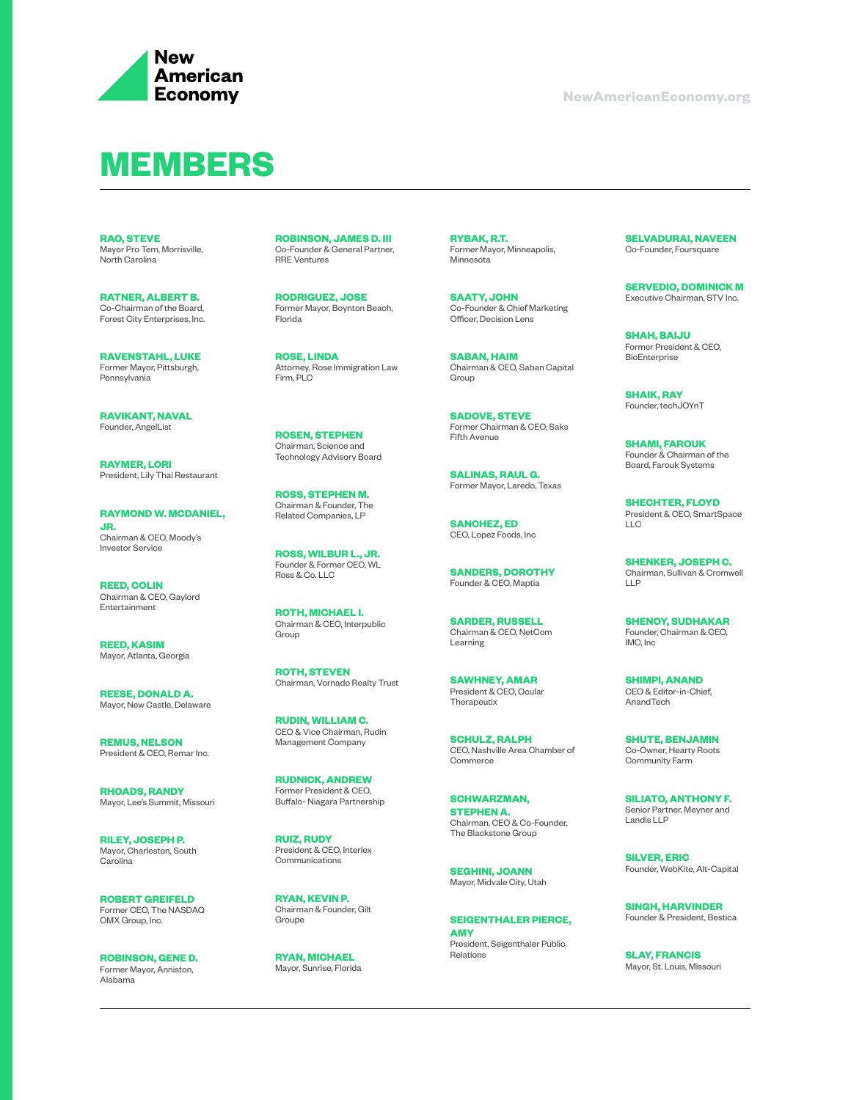

## **MEMBERS**

**RAO, STEVE** Mayor Pro Tem, Morrisville, North Carolina

**RATNER, ALBERT B.** Co-Chairman of the Board, Forest City Enterprises, Inc.

**RAVENSTAHL, LUKE** Former Mayor, Pittsburgh, Pennsylvania

**RAVIKANT, NAVAL** Founder, AngelList

**RAYMER, LORI** President, Lily Thai Restaurant

**RAYMOND W. MCDANIEL, JR.** Chairman & CEO, Moody's Investor Service

**REED, COLIN** Chairman & CEO, Gaylord Entertainment

**REED, KASIM** Mayor, Atlanta, Georgia

**REESE, DONALD A.**  Mayor, New Castle, Delaware

**REMUS, NELSON** President & CEO, Remar Inc.

**RHOADS, RANDY** Mayor, Lee's Summit, Missouri

**RILEY, JOSEPH P.**  Mayor, Charleston, South Carolina

**ROBERT GREIFELD** Former CEO, The NASDAQ OMX Group, Inc.

**ROBINSON, GENE D.**  Former Mayor, Anniston, Alabama

**ROBINSON, JAMES D. III** Co-Founder & General Partner, RRE Ventures

**RODRIGUEZ, JOSE** Former Mayor, Boynton Beach, Florida

**ROSE, LINDA** Attorney, Rose Immigration Law Firm, PLC

**ROSEN, STEPHEN** Chairman, Science and Technology Advisory Board

**ROSS, STEPHEN M.**  Chairman & Founder, The Related Companies, LP

**ROSS, WILBUR L., JR.** Founder & Former CEO, WL Ross & Co. LLC

**ROTH, MICHAEL I.** Chairman & CEO, Interpublic Group

**ROTH, STEVEN**  Chairman, Vornado Realty Trust

**RUDIN, WILLIAM C.**  CEO & Vice Chairman, Rudin Management Company

**RUDNICK, ANDREW** Former President & CEO, Buffalo- Niagara Partnership

**RUIZ, RUDY** President & CEO, Interlex Communications

**RYAN, KEVIN P.** Chairman & Founder, Gilt Groupe

**RYAN, MICHAEL** Mayor, Sunrise, Florida **RYBAK, R.T.** Former Mayor, Minneapolis, Minnesota

**SAATY, JOHN** Co-Founder & Chief Marketing Officer, Decision Lens

**SABAN, HAIM** Chairman & CEO, Saban Capital Group

**SADOVE, STEVE** Former Chairman & CEO, Saks Fifth Avenue

**SALINAS, RAUL G.**  Former Mayor, Laredo, Texas

**SANCHEZ, ED** CEO, Lopez Foods, Inc

**SANDERS, DOROTHY** Founder & CEO, Maptia

**SARDER, RUSSELL** Chairman & CEO, NetCom Learning

**SAWHNEY, AMAR** President & CEO, Ocular **Therapeutix** 

**SCHULZ, RALPH** CEO, Nashville Area Chamber of **Commerce** 

**SCHWARZMAN, STEPHEN A.** Chairman, CEO & Co-Founder, The Blackstone Group

**SEGHINI, JOANN** Mayor, Midvale City, Utah

**SEIGENTHALER PIERCE, AMY** President, Seigenthaler Public Relations

**SELVADURAI, NAVEEN** Co-Founder, Foursquare

**SERVEDIO, DOMINICK M** Executive Chairman, STV Inc.

**SHAH, BAIJU** Former President & CEO, **BioEnterprise** 

**SHAIK, RAY**  Founder, techJOYnT

**SHAMI, FAROUK** Founder & Chairman of the Board, Farouk Systems

**SHECHTER, FLOYD** President & CEO, SmartSpace  $\overline{L}$ 

**SHENKER, JOSEPH C.**  Chairman, Sullivan & Cromwell LLP

**SHENOY, SUDHAKAR** Founder, Chairman & CEO, IMC, Inc

**SHIMPI, ANAND** CEO & Editor-in-Chief, AnandTech

**SHUTE, BENJAMIN** Co-Owner, Hearty Roots Community Farm

**SILIATO, ANTHONY F.**  Senior Partner, Meyner and Landis LLP

**SILVER, ERIC** Founder, WebKite, Alt-Capital

**SINGH, HARVINDER** Founder & President, Bestica

**SLAY, FRANCIS** Mayor, St. Louis, Missouri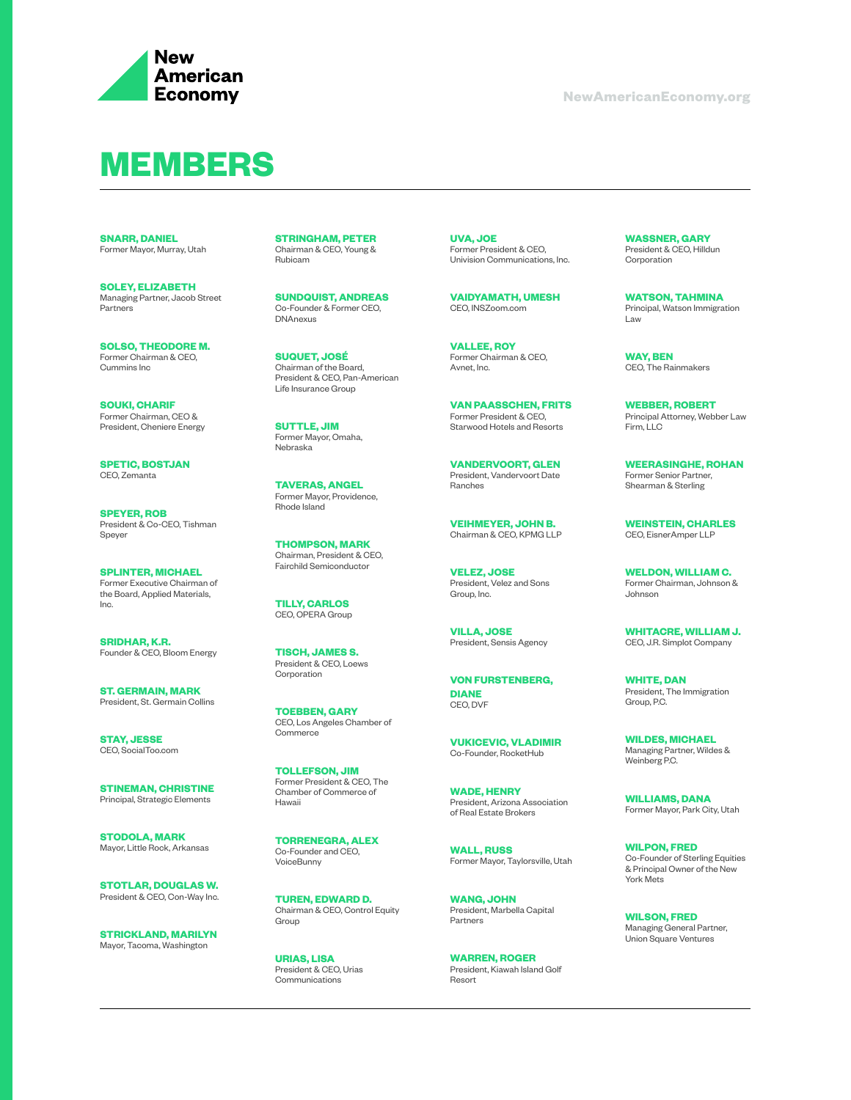

#### **MEMBERS**

**SNARR, DANIEL** Former Mayor, Murray, Utah

**SOLEY, ELIZABETH** Managing Partner, Jacob Street **Partners** 

**SOLSO, THEODORE M.** Former Chairman & CEO, Cummins Inc

**SOUKI, CHARIF** Former Chairman, CEO & President, Cheniere Energy

**SPETIC, BOSTJAN** CEO, Zemanta

**SPEYER, ROB** President & Co-CEO, Tishman Speyer

**SPLINTER, MICHAEL** Former Executive Chairman of the Board, Applied Materials, Inc.

**SRIDHAR, K.R.** Founder & CEO, Bloom Energy

**ST. GERMAIN, MARK** President, St. Germain Collins

**STAY, JESSE** CEO, SocialToo.com

**STINEMAN, CHRISTINE** Principal, Strategic Elements

**STODOLA, MARK** Mayor, Little Rock, Arkansas

**STOTLAR, DOUGLAS W.**  President & CEO, Con-Way Inc.

**STRICKLAND, MARILYN** Mayor, Tacoma, Washington

**STRINGHAM, PETER** Chairman & CEO, Young & Rubicam

**SUNDQUIST, ANDREAS** Co-Founder & Former CEO, DNAnexus

**SUQUET, JOSÉ** Chairman of the Board, President & CEO, Pan-American Life Insurance Group

**SUTTLE, JIM** Former Mayor, Omaha, Nebraska

**TAVERAS, ANGEL** Former Mayor, Providence, Rhode Island

**THOMPSON, MARK**  Chairman, President & CEO, Fairchild Semiconductor

**TILLY, CARLOS** CEO, OPERA Group

**TISCH, JAMES S.** President & CEO, Loews Corporation

**TOEBBEN, GARY** CEO, Los Angeles Chamber of **Commerce** 

**TOLLEFSON, JIM**  Former President & CEO, The Chamber of Commerce of Hawaii

**TORRENEGRA, ALEX** Co-Founder and CEO, VoiceBunny

**TUREN, EDWARD D.**  Chairman & CEO, Control Equity Group

**URIAS, LISA** President & CEO, Urias Communications

**UVA, JOE** Former President & CEO, Univision Communications, Inc.

**VAIDYAMATH, UMESH** CEO, INSZoom.com

**VALLEE, ROY**  Former Chairman & CEO, Avnet, Inc.

**VAN PAASSCHEN, FRITS** Former President & CEO, Starwood Hotels and Resorts

**VANDERVOORT, GLEN** President, Vandervoort Date Ranches

**VEIHMEYER, JOHN B.**  Chairman & CEO, KPMG LLP

**VELEZ, JOSE** President, Velez and Sons Group, Inc.

**VILLA, JOSE** President, Sensis Agency

**VON FURSTENBERG, DIANE**  CEO, DVF

**VUKICEVIC, VLADIMIR** Co-Founder, RocketHub

**WADE, HENRY** President, Arizona Association of Real Estate Brokers

**WALL, RUSS** Former Mayor, Taylorsville, Utah

**WANG, JOHN** President, Marbella Capital Partners

**WARREN, ROGER**  President, Kiawah Island Golf Resort

**WASSNER, GARY**  President & CEO, Hilldun Corporation

**WATSON, TAHMINA** Principal, Watson Immigration Law

**WAY, BEN** CEO, The Rainmakers

**WEBBER, ROBERT** Principal Attorney, Webber Law Firm, LLC

**WEERASINGHE, ROHAN** Former Senior Partner, Shearman & Sterling

**WEINSTEIN, CHARLES** CEO, EisnerAmper LLP

**WELDON, WILLIAM C.**  Former Chairman, Johnson & Johnson

**WHITACRE, WILLIAM J.**  CEO, J.R. Simplot Company

**WHITE, DAN**  President, The Immigration Group, P.C.

**WILDES, MICHAEL** Managing Partner, Wildes & Weinberg P.C.

**WILLIAMS, DANA** Former Mayor, Park City, Utah

**WILPON, FRED** Co-Founder of Sterling Equities & Principal Owner of the New York Mets

**WILSON, FRED** Managing General Partner, Union Square Ventures